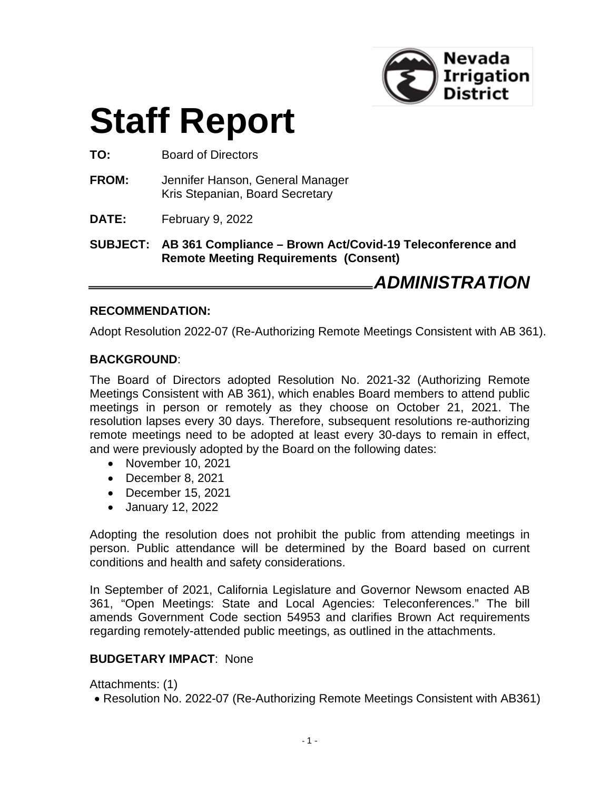

# **Staff Report**

**TO:** Board of Directors

- **FROM:** Jennifer Hanson, General Manager Kris Stepanian, Board Secretary
- **DATE:** February 9, 2022

**SUBJECT: AB 361 Compliance – Brown Act/Covid-19 Teleconference and Remote Meeting Requirements (Consent)**

*ADMINISTRATION*

#### **RECOMMENDATION:**

Adopt Resolution 2022-07 (Re-Authorizing Remote Meetings Consistent with AB 361).

#### **BACKGROUND**:

The Board of Directors adopted Resolution No. 2021-32 (Authorizing Remote Meetings Consistent with AB 361), which enables Board members to attend public meetings in person or remotely as they choose on October 21, 2021. The resolution lapses every 30 days. Therefore, subsequent resolutions re-authorizing remote meetings need to be adopted at least every 30-days to remain in effect, and were previously adopted by the Board on the following dates:

- November 10, 2021
- December 8, 2021
- December 15, 2021
- January 12, 2022

Adopting the resolution does not prohibit the public from attending meetings in person. Public attendance will be determined by the Board based on current conditions and health and safety considerations.

In September of 2021, California Legislature and Governor Newsom enacted AB 361, "Open Meetings: State and Local Agencies: Teleconferences." The bill amends Government Code section 54953 and clarifies Brown Act requirements regarding remotely-attended public meetings, as outlined in the attachments.

#### **BUDGETARY IMPACT**: None

Attachments: (1)

• Resolution No. 2022-07 (Re-Authorizing Remote Meetings Consistent with AB361)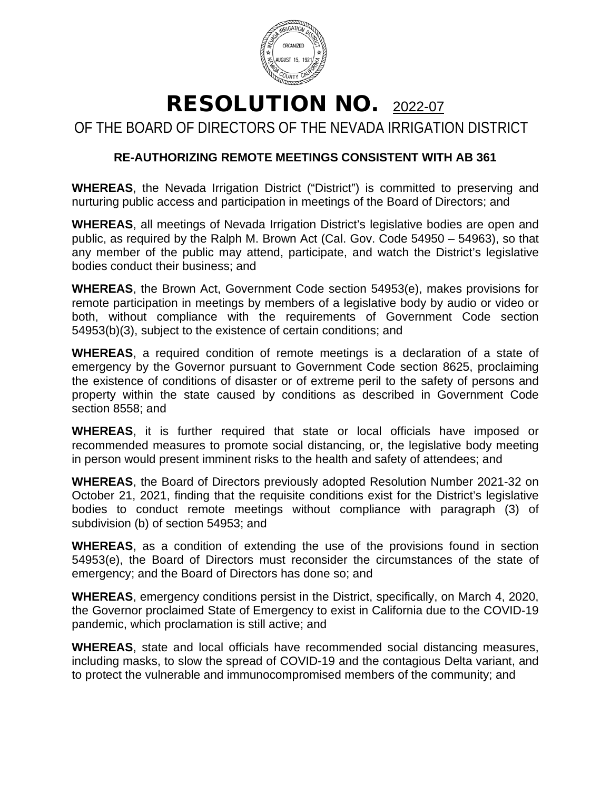

## RESOLUTION NO. 2022-07

OF THE BOARD OF DIRECTORS OF THE NEVADA IRRIGATION DISTRICT

### **RE-AUTHORIZING REMOTE MEETINGS CONSISTENT WITH AB 361**

**WHEREAS**, the Nevada Irrigation District ("District") is committed to preserving and nurturing public access and participation in meetings of the Board of Directors; and

**WHEREAS**, all meetings of Nevada Irrigation District's legislative bodies are open and public, as required by the Ralph M. Brown Act (Cal. Gov. Code 54950 – 54963), so that any member of the public may attend, participate, and watch the District's legislative bodies conduct their business; and

**WHEREAS**, the Brown Act, Government Code section 54953(e), makes provisions for remote participation in meetings by members of a legislative body by audio or video or both, without compliance with the requirements of Government Code section 54953(b)(3), subject to the existence of certain conditions; and

**WHEREAS**, a required condition of remote meetings is a declaration of a state of emergency by the Governor pursuant to Government Code section 8625, proclaiming the existence of conditions of disaster or of extreme peril to the safety of persons and property within the state caused by conditions as described in Government Code section 8558; and

**WHEREAS**, it is further required that state or local officials have imposed or recommended measures to promote social distancing, or, the legislative body meeting in person would present imminent risks to the health and safety of attendees; and

**WHEREAS**, the Board of Directors previously adopted Resolution Number 2021-32 on October 21, 2021, finding that the requisite conditions exist for the District's legislative bodies to conduct remote meetings without compliance with paragraph (3) of subdivision (b) of section 54953; and

**WHEREAS**, as a condition of extending the use of the provisions found in section 54953(e), the Board of Directors must reconsider the circumstances of the state of emergency; and the Board of Directors has done so; and

**WHEREAS**, emergency conditions persist in the District, specifically, on March 4, 2020, the Governor proclaimed State of Emergency to exist in California due to the COVID-19 pandemic, which proclamation is still active; and

**WHEREAS**, state and local officials have recommended social distancing measures, including masks, to slow the spread of COVID-19 and the contagious Delta variant, and to protect the vulnerable and immunocompromised members of the community; and